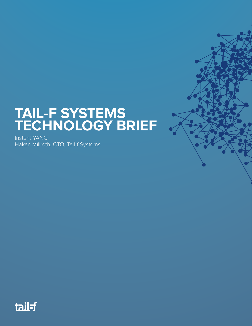## **TAIL-F SYSTEMS TECHNOLOGY BRIEF**

Instant YANG Hakan Millroth, CTO, Tail-f Systems

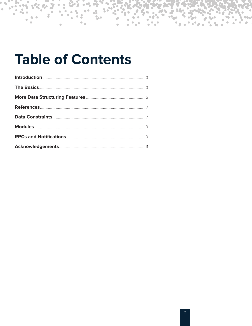## **Table of Contents**

 $\bullet$ 

 $\bullet$ 

 $\triangle$ 

 $\bullet$ 

 $\bullet\bullet$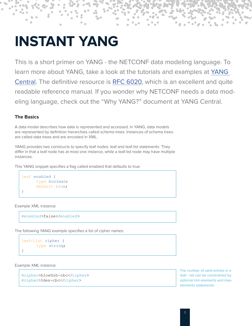# **INSTANT YANG**

This is a short primer on YANG - the NETCONF data modeling language. To learn more about YANG, take a look at the tutorials and examples at [YANG](http://www.yang-central.org/twiki/bin/view/Main/WebHome)  [Central.](http://www.yang-central.org/twiki/bin/view/Main/WebHome) The definitive resource is [RFC 6020](http://www.rfc-editor.org/rfc/rfc6020.txt), which is an excellent and quite readable reference manual. If you wonder why NETCONF needs a data modeling language, check out the "Why YANG?" document at YANG Central.

## **The Basics**

A data model describes how data is represented and accessed. In YANG, data models are represented by definition hierarchies called schema trees. Instances of schema trees are called data trees and are encoded in XML.

YANG provides two constructs to specify leaf nodes: leaf and leaf-list statements. They differ in that a leaf node has at most one instance, while a leaf-list node may have multiple instances.

This YANG snippet specifies a flag called enabled that defaults to true:

```
leaf enabled {
      type boolean; 
      default true;
}
```
Example XML instance:

<enabled>false</enabled>

The following YANG example specifies a list of cipher names:

```
leaf-list cipher { 
      type string;
}
```
Example XML instance:

```
<cipher>blowfish-cbc</cipher>
<cipher>3des-cbc</cipher>
```
The number of valid entries in a leaf---list can be constrained by optional min-elements and maxelements statements.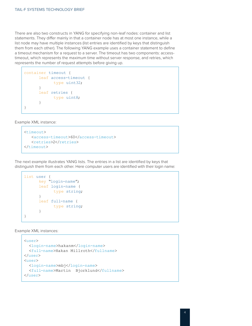There are also two constructs in YANG for specifying non-leaf nodes: container and list statements. They differ mainly in that a container node has at most one instance, while a list node may have multiple instances (list entries are identified by keys that distinguish them from each other). The following YANG example uses a container statement to define a timeout mechanism for a request to a server. The timeout has two components: accesstimeout, which represents the maximum time without server response, and retries, which represents the number of request attempts before giving up.

```
container timeout {
      leaf access-timeout { 
              type uint32;
      }
      leaf retries { 
              type uint8;
      }
}
```
Example XML instance:

```
<timeout>
    <access-timeout>60</access-timeout>
   <retries>2</retries>
</timeout>
```
The next example illustrates YANG lists. The entries in a list are identified by keys that distinguish them from each other. Here computer users are identified with their login name:

```
list user {
      key "login-name"; 
      leaf login-name {
              type string;
      }
      leaf full-name { 
              type string;
      }
}
```
Example XML instances:

```
<user>
   <login-name>hakanm</login-name>
   <full-name>Hakan Millroth</fullname>
</user>
<user>
   <login-name>mbj</login-name>
   <full-name>Martin Bjorklund</fullname>
\langle/user>
```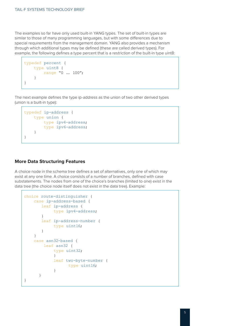The examples so far have only used built-in YANG types. The set of built-in types are similar to those of many programming languages, but with some differences due to special requirements from the management domain. YANG also provides a mechanism through which additional types may be defined (these are called derived types). For example, the following defines a type percent that is a restriction of the built-in type uint8:

```
typedef percent { 
     type uint8 {
         range "0 .. 100";
     }
}
```
The next example defines the type ip-address as the union of two other derived types (union is a built-in type):

```
typedef ip-address { 
     type union {
         type ipv4-address; 
          type ipv6-address;
     }
}
```
#### **More Data Structuring Features**

A choice node in the schema tree defines a set of alternatives, only one of which may exist at any one time. A choice consists of a number of branches, defined with case substatements. The nodes from one of the choice's branches (limited to one) exist in the data tree (the choice node itself does not exist in the data tree). Example:

```
choice route-distinguisher { 
    case ip-address-based {
      leaf ip-address {
             type ipv4-address;
        }
       leaf ip-address-number { 
             type uint16;
        }
     }
     case asn32-based { 
         leaf asn32 {
             type uint32;
 }
             leaf two-byte-number { 
                  type uint16;
 }
      }
}
```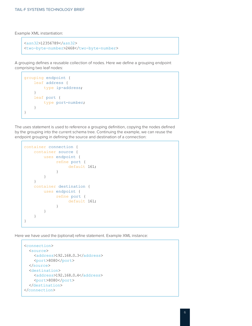Example XML instantiation:

```
<asn32>12356789</asn32>
<two-byte-number>2468</two-byte-number>
```
A grouping defines a reusable collection of nodes. Here we define a grouping endpoint comprising two leaf nodes:

```
grouping endpoint { 
     leaf address {
        type ip-address;
     }
     leaf port {
         type port-number;
     }
}
```
The uses statement is used to reference a grouping definition, copying the nodes defined by the grouping into the current schema tree. Continuing the example, we can reuse the endpoint grouping in defining the source and destination of a connection:

```
container connection { 
    container source {
        uses endpoint { 
             refine port {
            default 161;
 }
        }
    }
    container destination { 
        uses endpoint {
             refine port {
            default 161;
 }
        }
    }
}
```
Here we have used the (optional) refine statement. Example XML instance:

```
<connection>
   <source>
    <address>192.168.0.3</address>
     <port>8080</port>
   </source>
   <destination>
    <address>192.168.0.4</address>
     <port>8080</port>
   </destination>
</connection>
```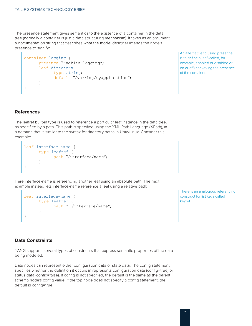The presence statement gives semantics to the existence of a container in the data tree (normally a container is just a data structuring mechanism). It takes as an argument a documentation string that describes what the model designer intends the node's presence to signify:

```
container logging {
      presence "Enables logging"; 
      leaf directory {
              type string;
              default "/var/log/myapplication";
      }
}
```
An alternative to using presence is to define a leaf (called, for example, enabled or disabled or on or off) conveying the presence of the container.

### **References**

The leafref built-in type is used to reference a particular leaf instance in the data tree, as specified by a path. This path is specified using the XML Path Language (XPath), in a notation that is similar to the syntax for directory paths in Unix/Linux. Consider this example:

```
leaf interface-name { 
      type leafref {
              path "/interface/name";
      }
}
```
Here interface-name is referencing another leaf using an absolute path. The next example instead lets interface-name reference a leaf using a relative path:

```
leaf interface-name { 
      type leafref {
              path "../interface/name";
      }
}
```
There is an analogous referencing construct for list keys called keyref.

### **Data Constraints**

YANG supports several types of constraints that express semantic properties of the data being modeled.

Data nodes can represent either configuration data or state data. The config statement specifies whether the definition it occurs in represents configuration data (config=true) or status data (config=false). If config is not specified, the default is the same as the parent schema node's config value. If the top node does not specify a config statement, the default is config=true.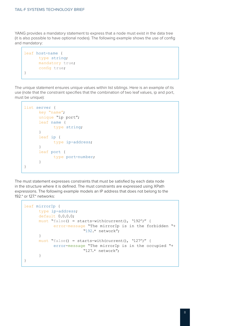YANG provides a mandatory statement to express that a node must exist in the data tree (it is also possible to have optional nodes). The following example shows the use of config and mandatory:

```
leaf host-name { 
      type string; 
      mandatory true; 
      config true;
}
```
The unique statement ensures unique values within list siblings. Here is an example of its use (note that the constraint specifies that the combination of two leaf values, ip and port, must be unique):

```
list server {
      key "name"; 
      unique "ip port"; 
      leaf name {
              type string;
      }
      leaf ip {
              type ip-address;
      }
      leaf port {
              type port-number;
      }
}
```
The must statement expresses constraints that must be satisfied by each data node in the structure where it is defined. The must constraints are expressed using XPath expressions. The following example models an IP address that does not belong to the 192.\* or 127.\* networks:

```
leaf mirrorIp {
      type ip-address;
      default 0.0.0.0;
      must "false() = starts-with(current(), '192')" {
             error-message "The mirrorIp is in the forbidden "+ 
                          "192.* network";
      }
      must "false() = starts-with(current(), '127')" {
             error-message "The mirrorIp is in the occupied "+
                          "127.* network";
      }
}
```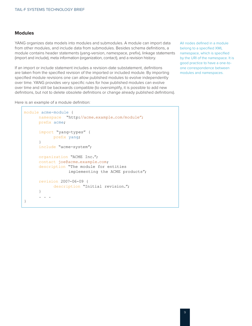#### **Modules**

YANG organizes data models into modules and submodules. A module can import data from other modules, and include data from submodules. Besides schema definitions, a module contains header statements (yang-version, namespace, prefix), linkage statements (import and include), meta information (organization, contact), and a revision history.

If an import or include statement includes a revision-date substatement, definitions are taken from the specified revision of the imported or included module. By importing specified module revisions one can allow published modules to evolve independently over time. YANG provides very specific rules for how published modules can evolve over time and still be backwards compatible (to oversimplify, it is possible to add new definitions, but not to delete obsolete definitions or change already published definitions).

Here is an example of a module definition:

```
module acme-module {
      namespace "http://acme.example.com/module";
      prefix acme;
      import "yang-types" { 
             prefix yang;
      }
      include "acme-system";
      organization "ACME Inc."; 
      contact joe@acme.example.com;
      description "The module for entities
                    implementing the ACME products";
      revision 2007-06-09 {
             description "Initial revision.";
      }
       . . .
}
```
All nodes defined in a module belong to a specified XML namespace, which is specified by the URI of the namespace. It is good practice to have a one-toone correspondence between modules and namespaces.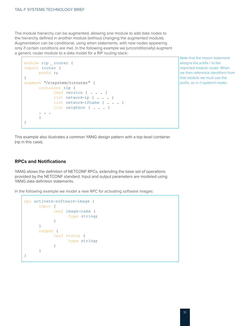The module hierarchy can be augmented, allowing one module to add data nodes to the hierarchy defined in another module (without changing the augmented module). Augmentation can be conditional, using when statements, with new nodes appearing only if certain conditions are met. In the following example we (unconditionally) augment a generic router module to a data model for a RIP routing stack:

```
module rip _ router { 
import router {
     prefix r;
}
augment "/r:system/r:router" { 
      container rip {
            leaf version { . . . }
            list network-ip { . . . }
            list network-ifname { . . . }
            list neighbor { . . . }
        . . .
      }
}
```
Note that the import statement assigns the prefix r to the imported module router. When we then reference identifiers from that module we must use the prefix, as in /r:system/r:router.

This example also illustrates a common YANG design pattern with a top-level container (rip in this case).

#### **RPCs and Notifications**

YANG allows the definition of NETCONF RPCs, extending the base set of operations provided by the NETCONF standard. Input and output parameters are modeled using YANG data definition statements.

In the following example we model a new RPC for activating software images:

```
rpc activate-software-image { 
     input {
            leaf image-name {
                 type string;
 }
     }
     output {
            leaf status {
                 type string;
 }
     }
}
```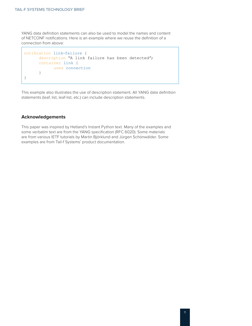YANG data definition statements can also be used to model the names and content of NETCONF notifications. Here is an example where we reuse the definition of a connection from above:

```
notification link-failure {
      description "A link failure has been detected"; 
      container link {
             uses connection
      }
}
```
This example also illustrates the use of description statement. All YANG data definition statements (leaf, list, leaf-list, etc.) can include description statements.

#### **Acknowledgements**

This paper was inspired by Hetland's Instant Python text. Many of the examples and some verbatim text are from the YANG specification (RFC 6020). Some materials are from various IETF tutorials by Martin Björklund and Jürgen Schönwälder. Some examples are from Tail-f Systems' product documentation.